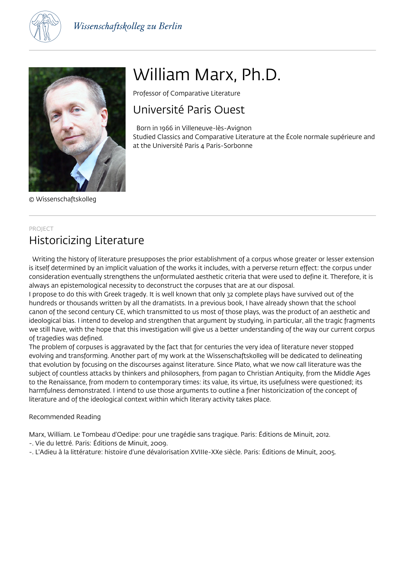



© Wissenschaftskolleg

# William Marx, Ph.D.

Professor of Comparative Literature

## Université Paris Ouest

 Born in 1966 in Villeneuve-lès-Avignon Studied Classics and Comparative Literature at the École normale supérieure and at the Université Paris 4 Paris-Sorbonne

### PROJECT Historicizing Literature

 Writing the history of literature presupposes the prior establishment of a corpus whose greater or lesser extension is itself determined by an implicit valuation of the works it includes, with a perverse return effect: the corpus under consideration eventually strengthens the unformulated aesthetic criteria that were used to define it. Therefore, it is always an epistemological necessity to deconstruct the corpuses that are at our disposal.

I propose to do this with Greek tragedy. It is well known that only 32 complete plays have survived out of the hundreds or thousands written by all the dramatists. In a previous book, I have already shown that the school canon of the second century CE, which transmitted to us most of those plays, was the product of an aesthetic and ideological bias. I intend to develop and strengthen that argument by studying, in particular, all the tragic fragments we still have, with the hope that this investigation will give us a better understanding of the way our current corpus of tragedies was defined.

The problem of corpuses is aggravated by the fact that for centuries the very idea of literature never stopped evolving and transforming. Another part of my work at the Wissenschaftskolleg will be dedicated to delineating that evolution by focusing on the discourses against literature. Since Plato, what we now call literature was the subject of countless attacks by thinkers and philosophers, from pagan to Christian Antiquity, from the Middle Ages to the Renaissance, from modern to contemporary times: its value, its virtue, its usefulness were questioned; its harmfulness demonstrated. I intend to use those arguments to outline a finer historicization of the concept of literature and of the ideological context within which literary activity takes place.

#### Recommended Reading

Marx, William. Le Tombeau d'Oedipe: pour une tragédie sans tragique. Paris: Éditions de Minuit, 2012.

- -. Vie du lettré. Paris: Éditions de Minuit, 2009.
- -. L'Adieu à la littérature: histoire d'une dévalorisation XVIIIe-XXe siècle. Paris: Éditions de Minuit, 2005.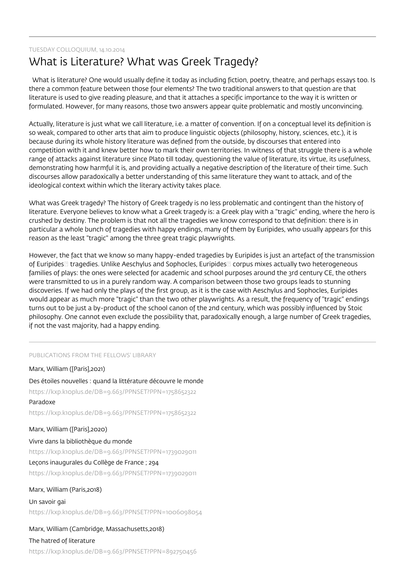#### TUESDAY COLLOQUIUM, 14.10.2014

### What is Literature? What was Greek Tragedy?

 What is literature? One would usually define it today as including fiction, poetry, theatre, and perhaps essays too. Is there a common feature between those four elements? The two traditional answers to that question are that literature is used to give reading pleasure, and that it attaches a specific importance to the way it is written or formulated. However, for many reasons, those two answers appear quite problematic and mostly unconvincing.

Actually, literature is just what we call literature, i.e. a matter of convention. If on a conceptual level its definition is so weak, compared to other arts that aim to produce linguistic objects (philosophy, history, sciences, etc.), it is because during its whole history literature was defined from the outside, by discourses that entered into competition with it and knew better how to mark their own territories. In witness of that struggle there is a whole range of attacks against literature since Plato till today, questioning the value of literature, its virtue, its usefulness, demonstrating how harmful it is, and providing actually a negative description of the literature of their time. Such discourses allow paradoxically a better understanding of this same literature they want to attack, and of the ideological context within which the literary activity takes place.

What was Greek tragedy? The history of Greek tragedy is no less problematic and contingent than the history of literature. Everyone believes to know what a Greek tragedy is: a Greek play with a "tragic" ending, where the hero is crushed by destiny. The problem is that not all the tragedies we know correspond to that definition: there is in particular a whole bunch of tragedies with happy endings, many of them by Euripides, who usually appears for this reason as the least "tragic" among the three great tragic playwrights.

However, the fact that we know so many happy-ended tragedies by Euripides is just an artefact of the transmission of Euripides tragedies. Unlike Aeschylus and Sophocles, Euripides corpus mixes actually two heterogeneous families of plays: the ones were selected for academic and school purposes around the 3rd century CE, the others were transmitted to us in a purely random way. A comparison between those two groups leads to stunning discoveries. If we had only the plays of the first group, as it is the case with Aeschylus and Sophocles, Euripides would appear as much more "tragic" than the two other playwrights. As a result, the frequency of "tragic" endings turns out to be just a by-product of the school canon of the 2nd century, which was possibly influenced by Stoic philosophy. One cannot even exclude the possibility that, paradoxically enough, a large number of Greek tragedies, if not the vast majority, had a happy ending.

#### PUBLICATIONS FROM THE FELLOWS' LIBRARY

Marx, William ([Paris],2021) Des étoiles nouvelles : quand la littérature découvre le monde https://kxp.k10plus.de/DB=9.663/PPNSET?PPN=1758652322 Paradoxe https://kxp.k10plus.de/DB=9.663/PPNSET?PPN=1758652322 Marx, William ([Paris],2020) Vivre dans la bibliothèque du monde https://kxp.k10plus.de/DB=9.663/PPNSET?PPN=1739029011 Leçons inaugurales du Collège de France ; 294 https://kxp.k10plus.de/DB=9.663/PPNSET?PPN=1739029011 Marx, William (Paris,2018) Un savoir gai https://kxp.k10plus.de/DB=9.663/PPNSET?PPN=1006098054

#### Marx, William (Cambridge, Massachusetts,2018)

#### The hatred of literature

https://kxp.k10plus.de/DB=9.663/PPNSET?PPN=892750456